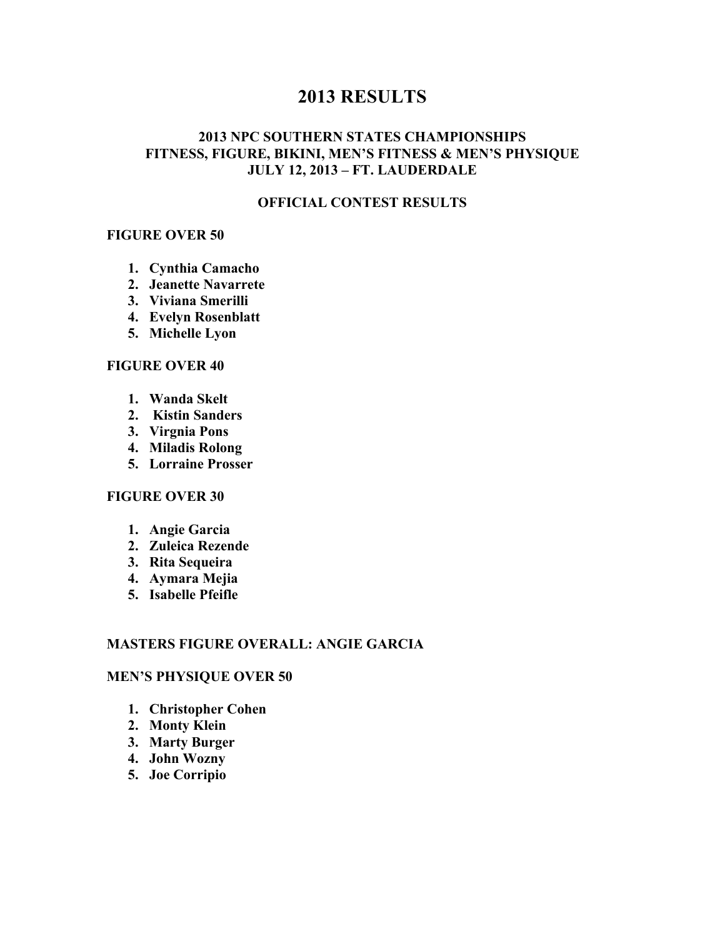# **2013 RESULTS**

## **2013 NPC SOUTHERN STATES CHAMPIONSHIPS FITNESS, FIGURE, BIKINI, MEN'S FITNESS & MEN'S PHYSIQUE JULY 12, 2013 – FT. LAUDERDALE**

## **OFFICIAL CONTEST RESULTS**

#### **FIGURE OVER 50**

- **1. Cynthia Camacho**
- **2. Jeanette Navarrete**
- **3. Viviana Smerilli**
- **4. Evelyn Rosenblatt**
- **5. Michelle Lyon**

#### **FIGURE OVER 40**

- **1. Wanda Skelt**
- **2. Kistin Sanders**
- **3. Virgnia Pons**
- **4. Miladis Rolong**
- **5. Lorraine Prosser**

## **FIGURE OVER 30**

- **1. Angie Garcia**
- **2. Zuleica Rezende**
- **3. Rita Sequeira**
- **4. Aymara Mejia**
- **5. Isabelle Pfeifle**

#### **MASTERS FIGURE OVERALL: ANGIE GARCIA**

#### **MEN'S PHYSIQUE OVER 50**

- **1. Christopher Cohen**
- **2. Monty Klein**
- **3. Marty Burger**
- **4. John Wozny**
- **5. Joe Corripio**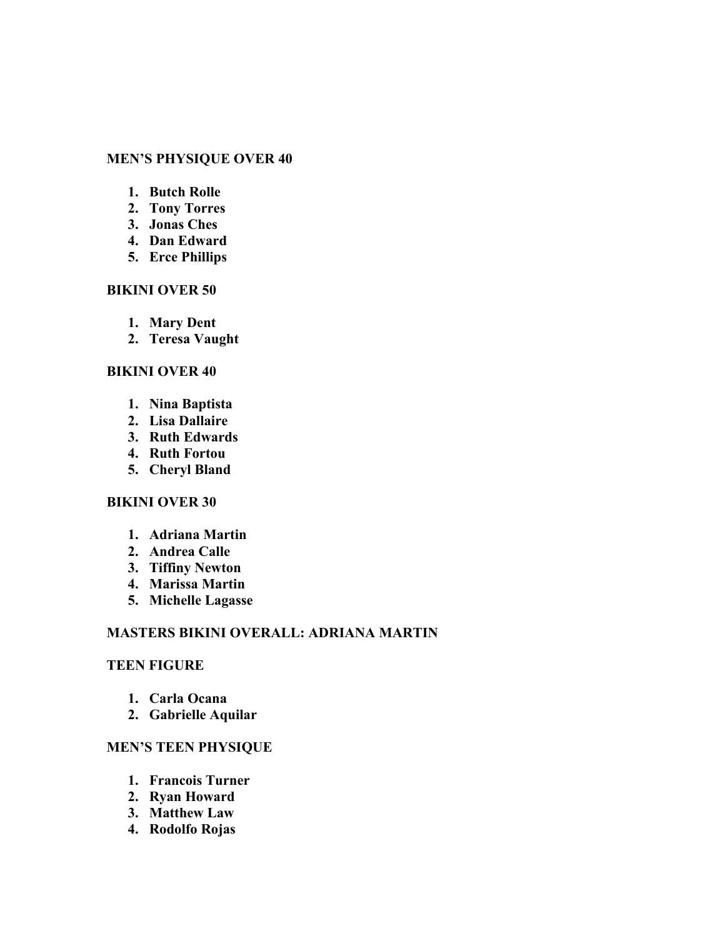## **MEN'S PHYSIQUE OVER 40**

- **1. Butch Rolle**
- **2. Tony Torres**
- **3. Jonas Ches**
- **4. Dan Edward**
- **5. Erce Phillips**

#### **BIKINI OVER 50**

- **1. Mary Dent**
- **2. Teresa Vaught**

#### **BIKINI OVER 40**

- **1. Nina Baptista**
- **2. Lisa Dallaire**
- **3. Ruth Edwards**
- **4. Ruth Fortou**
- **5. Cheryl Bland**

### **BIKINI OVER 30**

- **1. Adriana Martin**
- **2. Andrea Calle**
- **3. Tiffiny Newton**
- **4. Marissa Martin**
- **5. Michelle Lagasse**

## **MASTERS BIKINI OVERALL: ADRIANA MARTIN**

### **TEEN FIGURE**

- **1. Carla Ocana**
- **2. Gabrielle Aquilar**

#### **MEN'S TEEN PHYSIQUE**

- **1. Francois Turner**
- **2. Ryan Howard**
- **3. Matthew Law**
- **4. Rodolfo Rojas**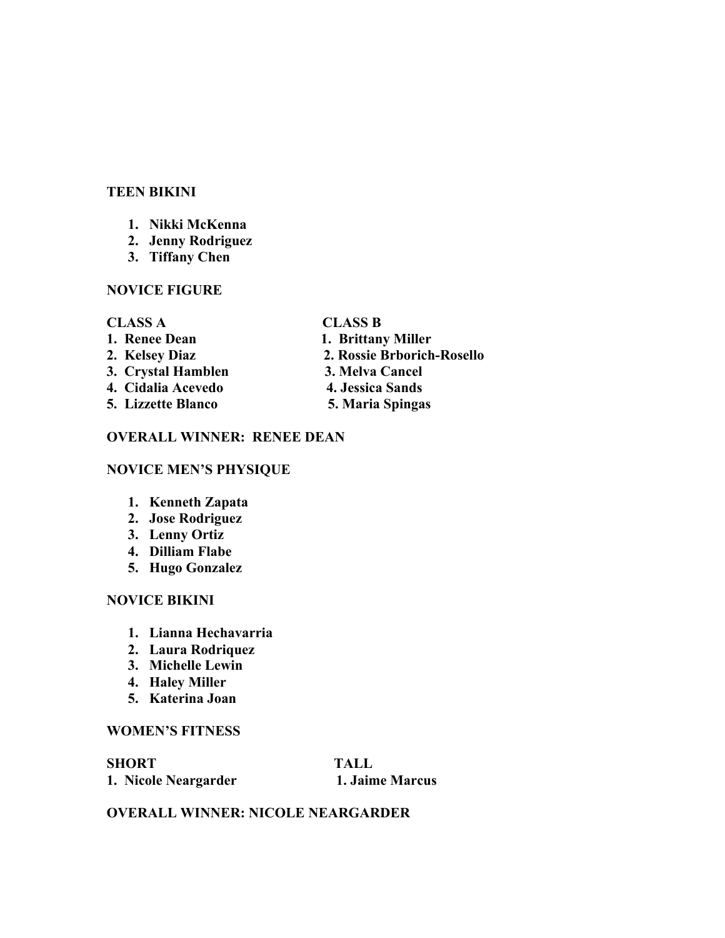## **TEEN BIKINI**

- **1. Nikki McKenna**
- **2. Jenny Rodriguez**
- **3. Tiffany Chen**

#### **NOVICE FIGURE**

#### **CLASS A CLASS B**

- **1. Renee Dean 1. Brittany Miller 2. Kelsey Diaz 2. Rossie Brborich-Rosello 3. Crystal Hamblen 3. Melva Cancel 4. Cidalia Acevedo 4. Jessica Sands**
- 
- 
- 
- 
- **5. Lizzette Blanco 5. Maria Spingas**

## **OVERALL WINNER: RENEE DEAN**

## **NOVICE MEN'S PHYSIQUE**

- **1. Kenneth Zapata**
- **2. Jose Rodriguez**
- **3. Lenny Ortiz**
- **4. Dilliam Flabe**
- **5. Hugo Gonzalez**

## **NOVICE BIKINI**

- **1. Lianna Hechavarria**
- **2. Laura Rodriquez**
- **3. Michelle Lewin**
- **4. Haley Miller**
- **5. Katerina Joan**

## **WOMEN'S FITNESS**

## **SHORT TALL 1. Nicole Neargarder 1. Jaime Marcus**

## **OVERALL WINNER: NICOLE NEARGARDER**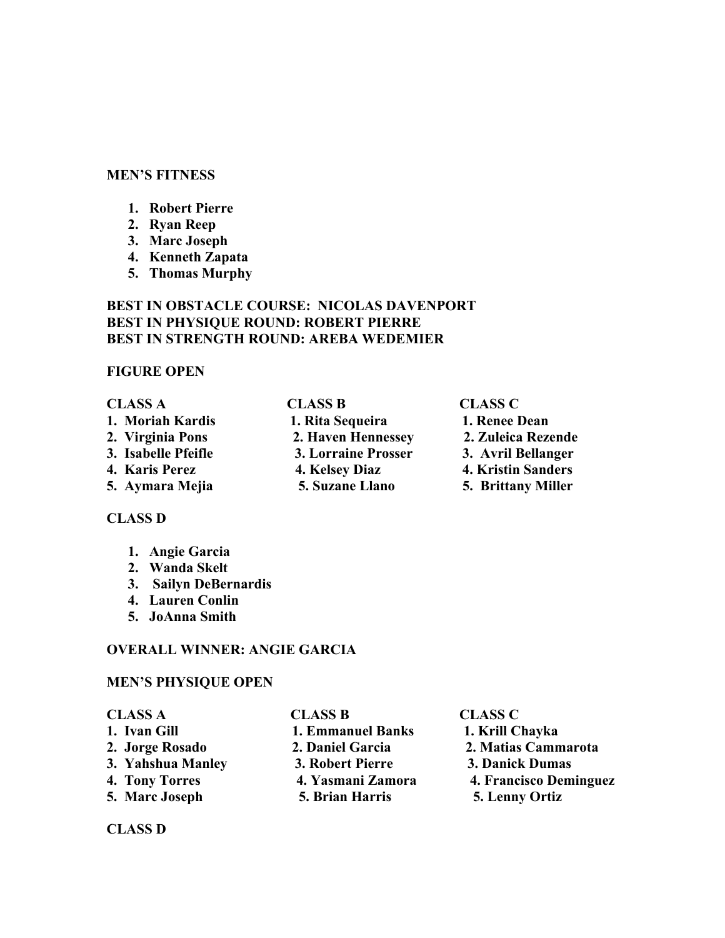#### **MEN'S FITNESS**

- **1. Robert Pierre**
- **2. Ryan Reep**
- **3. Marc Joseph**
- **4. Kenneth Zapata**
- **5. Thomas Murphy**

## **BEST IN OBSTACLE COURSE: NICOLAS DAVENPORT BEST IN PHYSIQUE ROUND: ROBERT PIERRE BEST IN STRENGTH ROUND: AREBA WEDEMIER**

#### **FIGURE OPEN**

| <b>CLASS A</b>      | <b>CLASS B</b>      | <b>CLASS C</b>            |
|---------------------|---------------------|---------------------------|
| 1. Moriah Kardis    | 1. Rita Sequeira    | 1. Renee Dean             |
| 2. Virginia Pons    | 2. Haven Hennessey  | 2. Zuleica Rezende        |
| 3. Isabelle Pfeifle | 3. Lorraine Prosser | 3. Avril Bellanger        |
| 4. Karis Perez      | 4. Kelsey Diaz      | <b>4. Kristin Sanders</b> |
| 5. Aymara Mejia     | 5. Suzane Llano     | <b>5. Brittany Miller</b> |

#### **CLASS D**

- **1. Angie Garcia**
- **2. Wanda Skelt**
- **3. Sailyn DeBernardis**
- **4. Lauren Conlin**
- **5. JoAnna Smith**

### **OVERALL WINNER: ANGIE GARCIA**

## **MEN'S PHYSIQUE OPEN**

| <b>CLASS A</b>    | <b>CLASS B</b>           | <b>CLASS C</b>         |
|-------------------|--------------------------|------------------------|
| 1. Ivan Gill      | <b>1. Emmanuel Banks</b> | 1. Krill Chayka        |
| 2. Jorge Rosado   | 2. Daniel Garcia         | 2. Matias Cammarota    |
| 3. Yahshua Manley | 3. Robert Pierre         | 3. Danick Dumas        |
| 4. Tony Torres    | 4. Yasmani Zamora        | 4. Francisco Deminguez |
| 5. Marc Joseph    | 5. Brian Harris          | 5. Lenny Ortiz         |

**CLASS D**